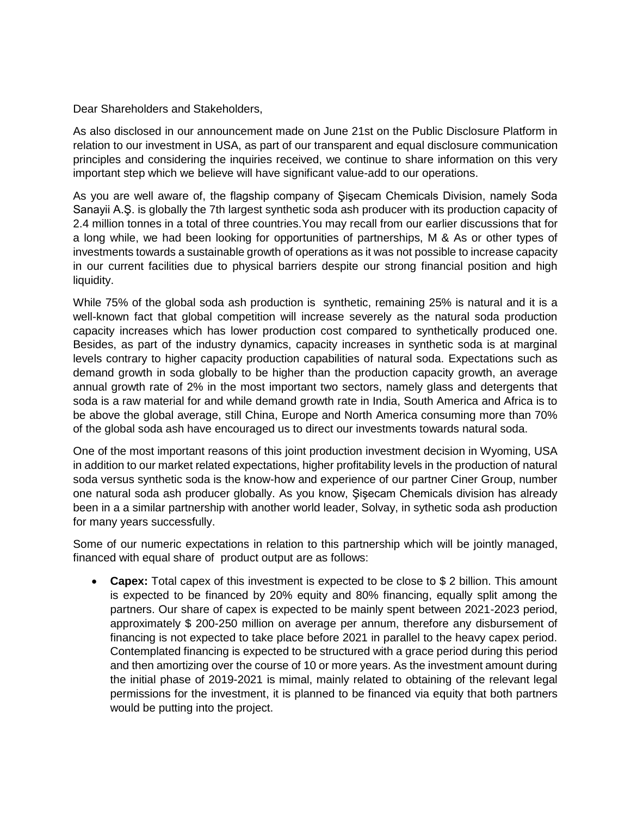## Dear Shareholders and Stakeholders,

As also disclosed in our announcement made on June 21st on the Public Disclosure Platform in relation to our investment in USA, as part of our transparent and equal disclosure communication principles and considering the inquiries received, we continue to share information on this very important step which we believe will have significant value-add to our operations.

As you are well aware of, the flagship company of Şişecam Chemicals Division, namely Soda Sanayii A.Ş. is globally the 7th largest synthetic soda ash producer with its production capacity of 2.4 million tonnes in a total of three countries.You may recall from our earlier discussions that for a long while, we had been looking for opportunities of partnerships, M & As or other types of investments towards a sustainable growth of operations as it was not possible to increase capacity in our current facilities due to physical barriers despite our strong financial position and high liquidity.

While 75% of the global soda ash production is synthetic, remaining 25% is natural and it is a well-known fact that global competition will increase severely as the natural soda production capacity increases which has lower production cost compared to synthetically produced one. Besides, as part of the industry dynamics, capacity increases in synthetic soda is at marginal levels contrary to higher capacity production capabilities of natural soda. Expectations such as demand growth in soda globally to be higher than the production capacity growth, an average annual growth rate of 2% in the most important two sectors, namely glass and detergents that soda is a raw material for and while demand growth rate in India, South America and Africa is to be above the global average, still China, Europe and North America consuming more than 70% of the global soda ash have encouraged us to direct our investments towards natural soda.

One of the most important reasons of this joint production investment decision in Wyoming, USA in addition to our market related expectations, higher profitability levels in the production of natural soda versus synthetic soda is the know-how and experience of our partner Ciner Group, number one natural soda ash producer globally. As you know, Şişecam Chemicals division has already been in a a similar partnership with another world leader, Solvay, in sythetic soda ash production for many years successfully.

Some of our numeric expectations in relation to this partnership which will be jointly managed, financed with equal share of product output are as follows:

 **Capex:** Total capex of this investment is expected to be close to \$ 2 billion. This amount is expected to be financed by 20% equity and 80% financing, equally split among the partners. Our share of capex is expected to be mainly spent between 2021-2023 period, approximately \$ 200-250 million on average per annum, therefore any disbursement of financing is not expected to take place before 2021 in parallel to the heavy capex period. Contemplated financing is expected to be structured with a grace period during this period and then amortizing over the course of 10 or more years. As the investment amount during the initial phase of 2019-2021 is mimal, mainly related to obtaining of the relevant legal permissions for the investment, it is planned to be financed via equity that both partners would be putting into the project.